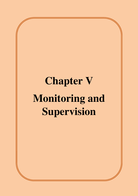# **Chapter V Monitoring and Supervision**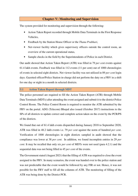## **Chapter**-**V: Monitoring and Supervision**

The system provided for monitoring and supervision through the following:

- Action Taken Report recorded through Mobile Data Terminals in the First Response Vehicles,
- Feedback by the Station House Officer or the *Thana Prabhari*,
- Net-viewer facility which gives supervisory officers outside the control room, an overview of the current operational status,
- Sample checks in the field by the Superintendents of Police in each District.

Our audit showed that Action Taken Report (ATR) was filled in 79 *per cent* events against 61.4 lakh events. Feedback was filled in 112 events (11 per cent) out of 1000 chronologies of events in selected eight districts. Net viewer facility was not utilized in 89 *per cent* login days. Gazetted officer/Police Station in-charge did not perform the duty on a FRV in a shift for one day or night in a month in selected districts.

#### **5.1 Action Taken Report through MDT**

The police personnel are required to fill the Action Taken Report (ATR) through Mobile Data Terminals (MDTs) after attending the event assigned and submit it to the district Police Control Room. The Police Control Room is required to monitor the ATR submitted by the FRV on the portal. ADG (Telecom) Bhopal also issued (October 2017) instructions to the SPs of all districts to update correct and complete action taken on the event by the PCR/PS of the districts.

We found that out of 61.4 lakh events dispatched during January 2018 to September 2020, ATR was filled in 48.2 lakh events i.e. 79 *per cent* against the norm of hundred *per cent*. Verification of 1000 chronologies in eight districts sampled in audit showed that the compliance was lower at 38 *per cent*. In addition, we found incomplete entries in 29 *per cent*. It may be recalled that only six *per cent* of MDTs were not used (para 4.2.1) and the sequential data was not being filled in 45 *per cent* of the events.

The Government stated (August 2021) that the filling of ATR was required to close the event assigned to the FRV. In many scenarios, the event was handed over to the police station and was not predictable that the event would be followed by any FIR or not. Hence, it was not possible for the FRV staff to fill all the columns of ATR. The monitoring of filling of the ATR was being done by the District PCR.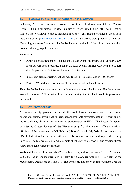### **5.2 Feedback by Station House Officers (***Thana Prabhari***)**

In January 2018, instructions were issued to constitute a feedback desk at Police Control Rooms (PCR) in all districts. Further instructions were issued (June 2019) to all Station House Officers (SHOs) to upload feedback of all the events related to Police Stations in an Integrated portal (https://feedback.mpdial100.in). All the SHOs were provided with a user ID and login password to access the feedback system and upload the information regarding events pertaining to police stations.

We noted that:

- Against the requirement of feedback on 3.2 lakh events of January and February 2020, feedback was found recorded against 2.0 lakh events. Entries were found to be less than 90 *per cent* in 545 Police Stations of 42 districts.
- In selected eight districts, feedback was filled in 112 events out of 1000 events.
- District PCR did not constitute feedback desk in eight selected districts.

Thus, the feedback mechanism was not fully functional across the districts. The Government assured us (August 2021) that with increasing training, the feedback would improve over the period.

## **5.3 Net Viewer Facility**

Net-viewer facility gives users, outside the control room, an overview of the current operational status, showing active incidents and available resources, both in list form and on the map display, in order to monitor the performance of FRVs. The System Integrator provided 1500 user licenses of Net Viewer costing  $\bar{\tau}$  3.31 crore for different levels of officials<sup>1</sup> of the department. ADG (Telecom) Bhopal issued (July 2016) instructions to the SPs of all districts for maximum utilization of Net-viewer software and to provide training in its use. The SPs were also to make sample checks periodically on its use by subordinate ASPs and to take corrective measures.

We found that against the available 25.2 lakh login days<sup>2</sup> during January 2016 to November 2020, the log-in counts were only 2.8 lakh login days, representing 11 per cent of the requirement. Details are at Table 5.1. The trends did not show an improvement over the

 $\overline{a}$ 1

Inspector General, Deputy Inspector General, SSP, SP, ZSP, CSP/SDOP, ASP, DSP, PCR and PS.

<sup>2</sup> Days in the particular month  $\times$  number of user ID available for the post in that month.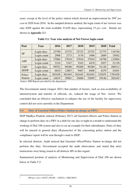years, except at the level of the police station which showed an improvement by 299<sup>3</sup>  *per cent* in 2020 from 2016. In the sampled districts audited, the login count of net viewers was only 8209 against the total available 53,630 days, representing 15 *per cent*. Details are shown in *Appendix 5.1*.

| Post                     | Year        | 2016   | 2017   | 2018   | 2019   | 2020   | <b>Total</b> |
|--------------------------|-------------|--------|--------|--------|--------|--------|--------------|
| <b>SP</b>                | Login days  | 23790  | 23725  | 23725  | 23725  | 21775  | 116740       |
|                          | Login count | 2908   | 2773   | 3176   | 3496   | 2689   | 15042        |
| <b>ASP</b>               | Login days  | 27084  | 27010  | 27010  | 27010  | 24790  | 132904       |
|                          | Login count | 3224   | 5347   | 5162   | 4470   | 2927   | 21130        |
| CSP/<br><b>SDOP</b>      | Login days  | 99552  | 99280  | 99280  | 99280  | 91120  | 488512       |
|                          | Login count | 6610   | 12867  | 9467   | 8468   | 4279   | 41691        |
| Police<br><b>Station</b> | Login days  | 363438 | 362445 | 362445 | 362445 | 332655 | 1783428      |
|                          | Login count | 14819  | 39981  | 35600  | 52899  | 59146  | 202445       |

**Table 5.1: Year wise analysis of Net-Viewer login count** 

Source: MIS Reports provided by the department.

The Government stated (August 2021) that number of factors, such as non-availability of internet/system and transfer of officials, etc. reduced the usage of Net- viewer. We concluded that an effective mechanism to enhance the use of the facility for supervisory control did not exist currently in the Department.

#### **5.4 Duty of Gazetted Officer/Police Station in-charge on FRVs**

DGP Madhya Pradesh ordered (February 2017) all Gazetted officers and Police Station in charge to perform duty on a FRV in a shift for one day or night in a month to understand the working of Dial 100 system and also to set an example for their subordinates. Entry of duty will be entered in general diary (*Rojnamcha*) of the concerning police station and the compliance report will be sent through e-mail to DGP.

In selected districts, Audit noticed that Gazetted officer/Police Station in-charge did not perform this duty. Government accepted the audit observation, and stated that strict instructions were being issued to all districts SPs in this regard.

Summarised position of analysis of Monitoring and Supervision of Dial 100 are shown below in Table 5.2:

l 3

299 *per cent* = 44327 (59146 – 14819) × 100/14819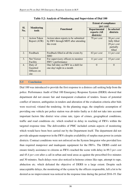|            | <b>Monitoring</b><br>tools                 |                                                                                         | <b>Extent of compliance</b><br>(per cent)         |                                                                   |  |
|------------|--------------------------------------------|-----------------------------------------------------------------------------------------|---------------------------------------------------|-------------------------------------------------------------------|--|
| Sl.<br>No. |                                            | <b>Functional</b>                                                                       | <b>Departmental</b><br>reports (All<br>districts) | In selected<br>districts                                          |  |
| 1.         | <b>Action Taken</b><br>Report (ATR)        | Action taken reports to be submitted<br>by FRV through MDT after attending<br>the event | 79 per cent                                       | 38 per cent<br>fully filled<br>29 per cent<br>partially<br>filled |  |
| 2.         | Feedback                                   | Feedback filled in all the events by<br><b>SHO</b>                                      | 63 per cent                                       | 11 per cent                                                       |  |
| 3.         | Net Viewer<br>Facility                     | For supervisory officers to monitor<br>FRV's performance                                | 11 per cent                                       | 15 per cent                                                       |  |
| 4.         | Duty of<br>Gazetted<br>Officers on<br>site | One full duty on FRV in a shift for<br>one day/ night in a month                        | $\Omega$                                          | $\Omega$                                                          |  |

**Table 5.2: Analysis of Monitoring and Supervision of Dial 100**

#### **5.5 Conclusion**

Dial 100 was introduced to provide the first response to a distress call seeking help from the police. Performance Audit of Dial 100 Emergency Response System (DERS) showed that department did not ensure fair and transparent evaluation of tenders. Issues of potential conflict of interest, ambiguities in tenders and alteration of the evaluation criteria after bids were received, vitiated the tendering. At the planning stage, the simplistic assumption of providing one vehicle per police station was ab-initio faulty as it did not take into account important factors like district wise crime rate, types of crimes, geographical conditions, traffic and road conditions etc. which resulted in delay in reaching of FRVs within the targeted response time. The deliverables of PMC included certain aspects of monitoring which would have been best carried out by the Department itself. The department did not provide adequate manpower in the FRVs despite availability of surplus man power in certain districts. Contract conditions were not enforced on the System Integrator who provided less than required manpower and inadequate equipment for the FRVs. The DERS could not ensure timely assistance to citizens as FRVs reached the scene with delay in 89.3 *per cent* and 45.4 *per cent* after a call in urban and rural areas as against the prescribed five minutes and 30 minutes. Such delays were also noticed in heinous crimes like rape, attempt to rape, abduction etc. which defeated the objective of DERS to a large extent. Despite such unacceptable delays, the monitoring of the system by the officers responsible, left a lot to be desired as no improvement was noticed in the response time during the period 2016-19. Our